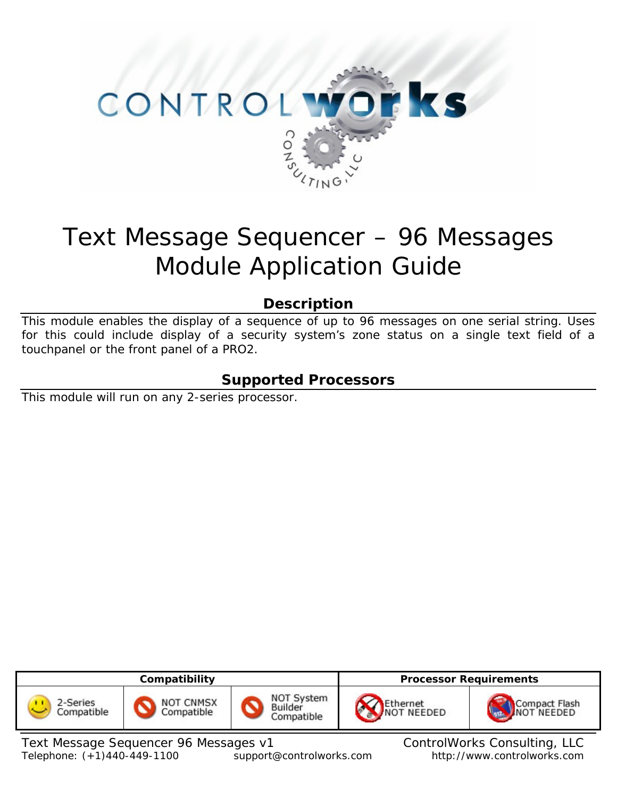

# Text Message Sequencer – 96 Messages Module Application Guide

## **Description**

This module enables the display of a sequence of up to 96 messages on one serial string. Uses for this could include display of a security system's zone status on a single text field of a touchpanel or the front panel of a PRO2.

## **Supported Processors**

This module will run on any 2-series processor.

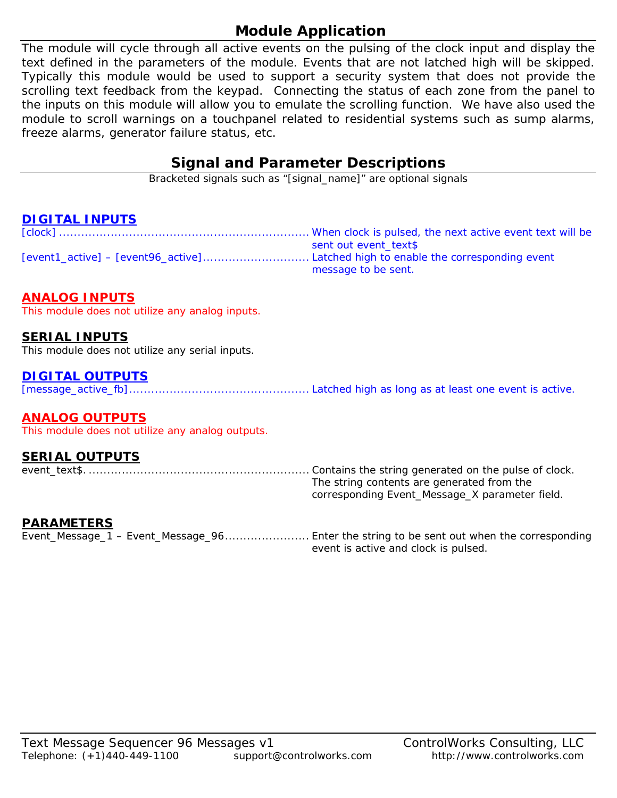# **Module Application**

The module will cycle through all active events on the pulsing of the clock input and display the text defined in the parameters of the module. Events that are not latched high will be skipped. Typically this module would be used to support a security system that does not provide the scrolling text feedback from the keypad. Connecting the status of each zone from the panel to the inputs on this module will allow you to emulate the scrolling function. We have also used the module to scroll warnings on a touchpanel related to residential systems such as sump alarms, freeze alarms, generator failure status, etc.

## **Signal and Parameter Descriptions**

Bracketed signals such as "[signal\_name]" are optional signals

### **DIGITAL INPUTS**

| sent out event text\$ |
|-----------------------|
|                       |
| message to be sent.   |

#### **ANALOG INPUTS**

This module does not utilize any analog inputs.

#### **SERIAL INPUTS**

This module does not utilize any serial inputs.

#### **DIGITAL OUTPUTS**

[message\_active\_fb]................................................. Latched high as long as at least one event is active.

#### **ANALOG OUTPUTS**

This module does not utilize any analog outputs.

#### **SERIAL OUTPUTS**

event\_text\$. ............................................................ Contains the string generated on the pulse of clock. The string contents are generated from the corresponding Event\_Message\_X parameter field.

#### **PARAMETERS**

Event\_Message\_1 – Event\_Message\_96....................... Enter the string to be sent out when the corresponding event is active and clock is pulsed.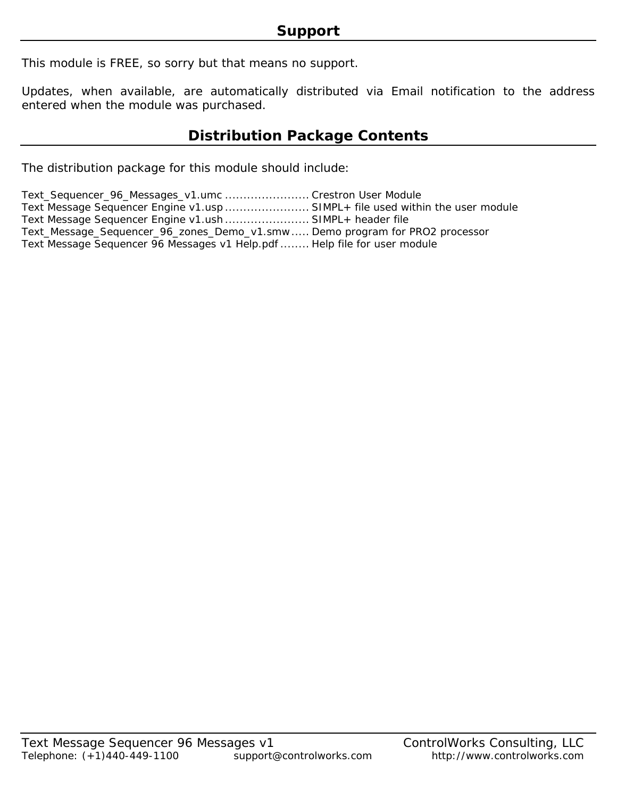This module is FREE, so sorry but that means no support.

Updates, when available, are automatically distributed via Email notification to the address entered when the module was purchased.

## **Distribution Package Contents**

The distribution package for this module should include:

| Text_Sequencer_96_Messages_v1.umc  Crestron User Module                       |  |
|-------------------------------------------------------------------------------|--|
| Text Message Sequencer Engine v1.usp  SIMPL+ file used within the user module |  |
| Text Message Sequencer Engine v1.ush  SIMPL+ header file                      |  |
| Text_Message_Sequencer_96_zones_Demo_v1.smw  Demo program for PRO2 processor  |  |
| Text Message Sequencer 96 Messages v1 Help.pdf  Help file for user module     |  |